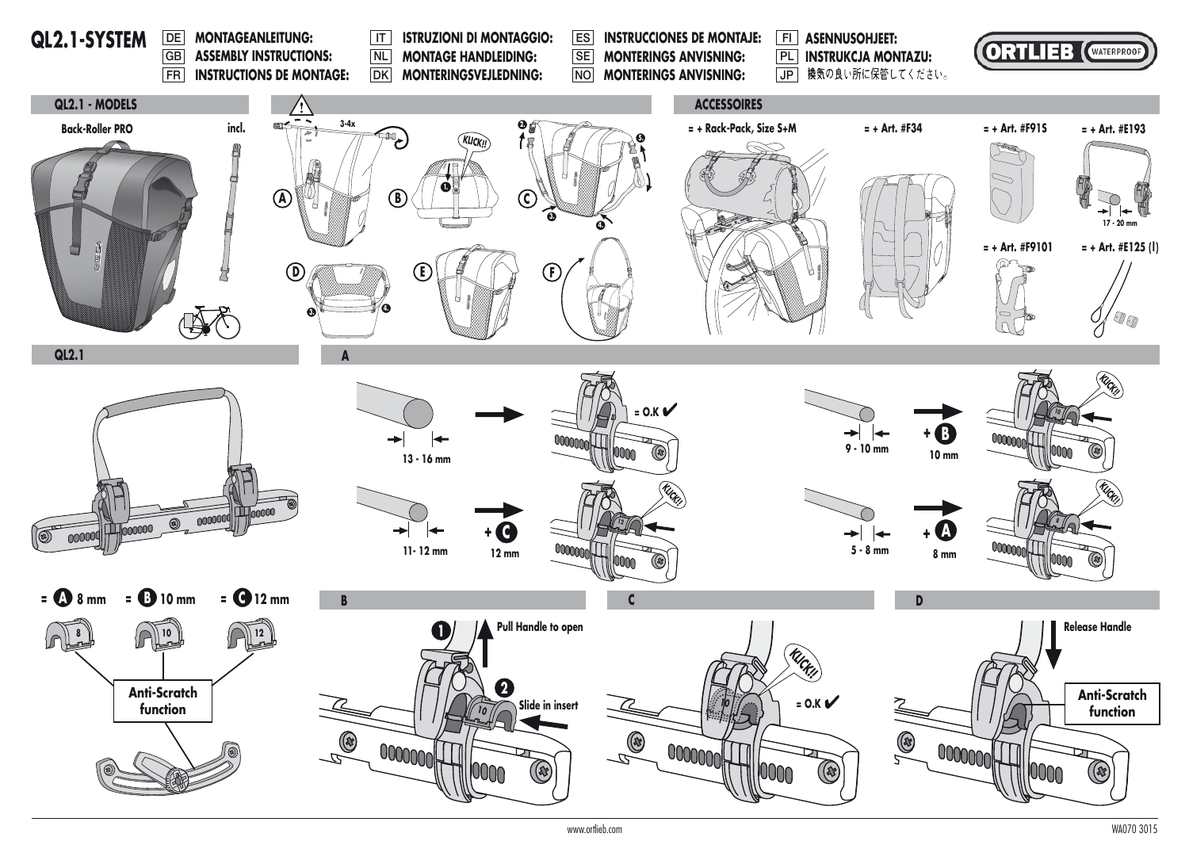

www.ortlieb.com WA070 3015